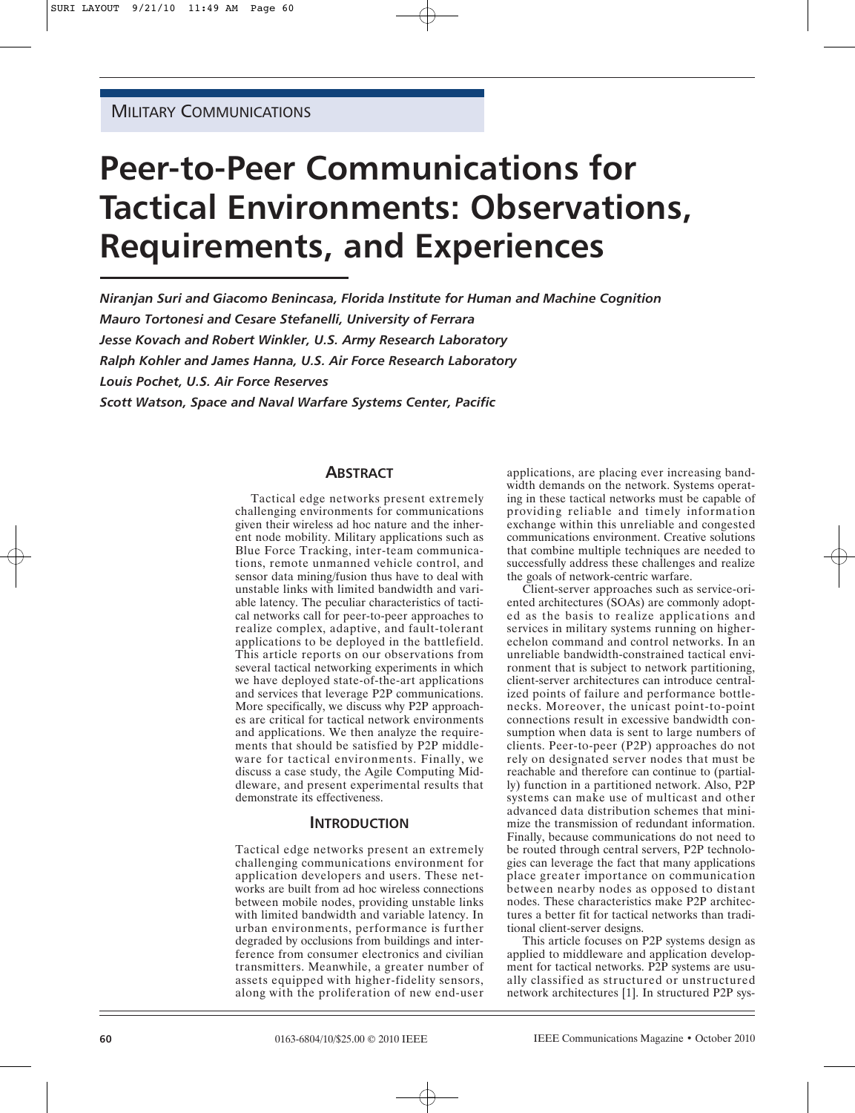# **Peer-to-Peer Communications for Tactical Environments: Observations, Requirements, and Experiences**

*Niranjan Suri and Giacomo Benincasa, Florida Institute for Human and Machine Cognition Mauro Tortonesi and Cesare Stefanelli, University of Ferrara Jesse Kovach and Robert Winkler, U.S. Army Research Laboratory Ralph Kohler and James Hanna, U.S. Air Force Research Laboratory Louis Pochet, U.S. Air Force Reserves Scott Watson, Space and Naval Warfare Systems Center, Pacific*

# **ABSTRACT**

Tactical edge networks present extremely challenging environments for communications given their wireless ad hoc nature and the inherent node mobility. Military applications such as Blue Force Tracking, inter-team communications, remote unmanned vehicle control, and sensor data mining/fusion thus have to deal with unstable links with limited bandwidth and variable latency. The peculiar characteristics of tactical networks call for peer-to-peer approaches to realize complex, adaptive, and fault-tolerant applications to be deployed in the battlefield. This article reports on our observations from several tactical networking experiments in which we have deployed state-of-the-art applications and services that leverage P2P communications. More specifically, we discuss why P2P approaches are critical for tactical network environments and applications. We then analyze the requirements that should be satisfied by P2P middleware for tactical environments. Finally, we discuss a case study, the Agile Computing Middleware, and present experimental results that demonstrate its effectiveness.

# **INTRODUCTION**

Tactical edge networks present an extremely challenging communications environment for application developers and users. These networks are built from ad hoc wireless connections between mobile nodes, providing unstable links with limited bandwidth and variable latency. In urban environments, performance is further degraded by occlusions from buildings and interference from consumer electronics and civilian transmitters. Meanwhile, a greater number of assets equipped with higher-fidelity sensors, along with the proliferation of new end-user

applications, are placing ever increasing bandwidth demands on the network. Systems operating in these tactical networks must be capable of providing reliable and timely information exchange within this unreliable and congested communications environment. Creative solutions that combine multiple techniques are needed to successfully address these challenges and realize the goals of network-centric warfare.

Client-server approaches such as service-oriented architectures (SOAs) are commonly adopted as the basis to realize applications and services in military systems running on higherechelon command and control networks. In an unreliable bandwidth-constrained tactical environment that is subject to network partitioning, client-server architectures can introduce centralized points of failure and performance bottlenecks. Moreover, the unicast point-to-point connections result in excessive bandwidth consumption when data is sent to large numbers of clients. Peer-to-peer (P2P) approaches do not rely on designated server nodes that must be reachable and therefore can continue to (partially) function in a partitioned network. Also, P2P systems can make use of multicast and other advanced data distribution schemes that minimize the transmission of redundant information. Finally, because communications do not need to be routed through central servers, P2P technologies can leverage the fact that many applications place greater importance on communication between nearby nodes as opposed to distant nodes. These characteristics make P2P architectures a better fit for tactical networks than traditional client-server designs.

This article focuses on P2P systems design as applied to middleware and application development for tactical networks. P2P systems are usually classified as structured or unstructured network architectures [1]. In structured P2P sys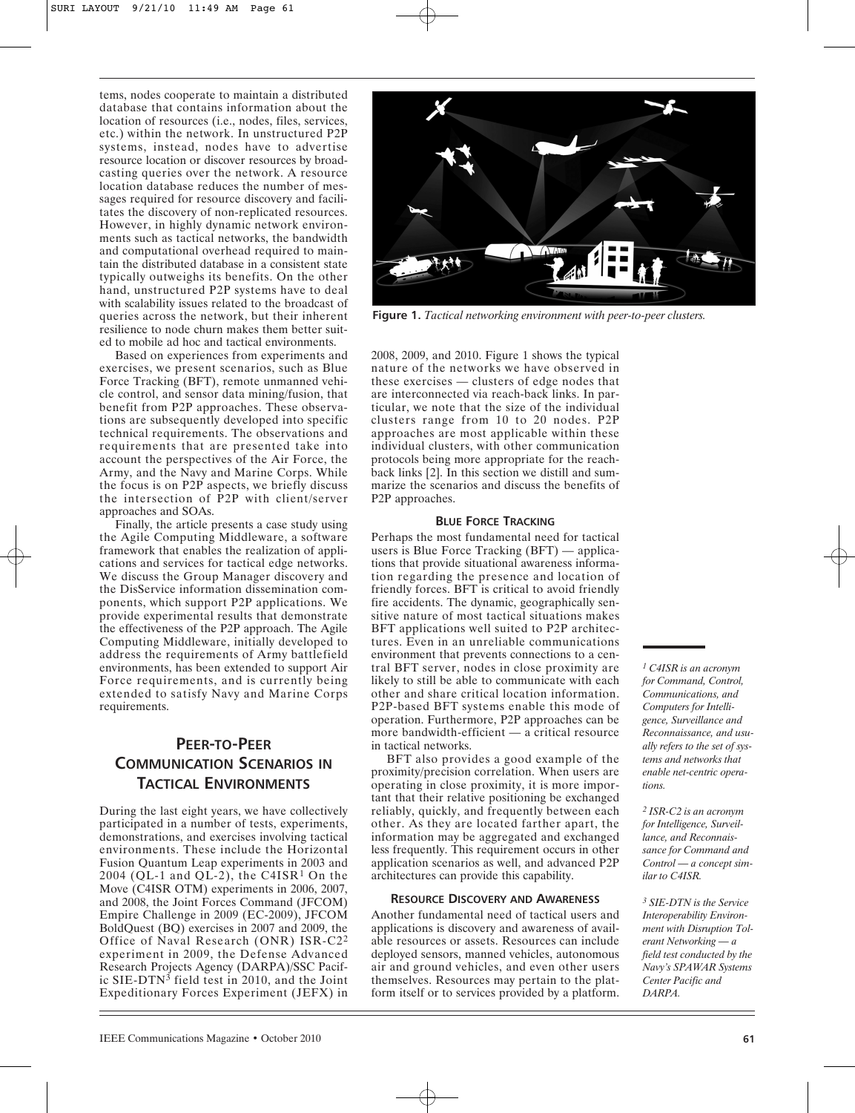tems, nodes cooperate to maintain a distributed database that contains information about the location of resources (i.e., nodes, files, services, etc.) within the network. In unstructured P2P systems, instead, nodes have to advertise resource location or discover resources by broadcasting queries over the network. A resource location database reduces the number of messages required for resource discovery and facilitates the discovery of non-replicated resources. However, in highly dynamic network environments such as tactical networks, the bandwidth and computational overhead required to maintain the distributed database in a consistent state typically outweighs its benefits. On the other hand, unstructured P2P systems have to deal with scalability issues related to the broadcast of queries across the network, but their inherent resilience to node churn makes them better suited to mobile ad hoc and tactical environments.

Based on experiences from experiments and exercises, we present scenarios, such as Blue Force Tracking (BFT), remote unmanned vehicle control, and sensor data mining/fusion, that benefit from P2P approaches. These observations are subsequently developed into specific technical requirements. The observations and requirements that are presented take into account the perspectives of the Air Force, the Army, and the Navy and Marine Corps. While the focus is on P2P aspects, we briefly discuss the intersection of P2P with client/server approaches and SOAs.

Finally, the article presents a case study using the Agile Computing Middleware, a software framework that enables the realization of applications and services for tactical edge networks. We discuss the Group Manager discovery and the DisService information dissemination components, which support P2P applications. We provide experimental results that demonstrate the effectiveness of the P2P approach. The Agile Computing Middleware, initially developed to address the requirements of Army battlefield environments, has been extended to support Air Force requirements, and is currently being extended to satisfy Navy and Marine Corps requirements.

# **PEER-TO-PEER COMMUNICATION SCENARIOS IN TACTICAL ENVIRONMENTS**

During the last eight years, we have collectively participated in a number of tests, experiments, demonstrations, and exercises involving tactical environments. These include the Horizontal Fusion Quantum Leap experiments in 2003 and 2004 (QL-1 and QL-2), the C4ISR<sup>1</sup> On the Move (C4ISR OTM) experiments in 2006, 2007, and 2008, the Joint Forces Command (JFCOM) Empire Challenge in 2009 (EC-2009), JFCOM BoldQuest (BQ) exercises in 2007 and 2009, the Office of Naval Research (ONR) ISR-C22 experiment in 2009, the Defense Advanced Research Projects Agency (DARPA)/SSC Pacific SIE-DTN3 field test in 2010, and the Joint Expeditionary Forces Experiment (JEFX) in



**Figure 1.** *Tactical networking environment with peer-to-peer clusters.*

2008, 2009, and 2010. Figure 1 shows the typical nature of the networks we have observed in these exercises — clusters of edge nodes that are interconnected via reach-back links. In particular, we note that the size of the individual clusters range from 10 to 20 nodes. P2P approaches are most applicable within these individual clusters, with other communication protocols being more appropriate for the reachback links [2]. In this section we distill and summarize the scenarios and discuss the benefits of P2P approaches.

#### **BLUE FORCE TRACKING**

Perhaps the most fundamental need for tactical users is Blue Force Tracking (BFT) — applications that provide situational awareness information regarding the presence and location of friendly forces. BFT is critical to avoid friendly fire accidents. The dynamic, geographically sensitive nature of most tactical situations makes BFT applications well suited to P2P architectures. Even in an unreliable communications environment that prevents connections to a central BFT server, nodes in close proximity are likely to still be able to communicate with each other and share critical location information. P2P-based BFT systems enable this mode of operation. Furthermore, P2P approaches can be more bandwidth-efficient — a critical resource in tactical networks.

BFT also provides a good example of the proximity/precision correlation. When users are operating in close proximity, it is more important that their relative positioning be exchanged reliably, quickly, and frequently between each other. As they are located farther apart, the information may be aggregated and exchanged less frequently. This requirement occurs in other application scenarios as well, and advanced P2P architectures can provide this capability.

#### **RESOURCE DISCOVERY AND AWARENESS**

Another fundamental need of tactical users and applications is discovery and awareness of available resources or assets. Resources can include deployed sensors, manned vehicles, autonomous air and ground vehicles, and even other users themselves. Resources may pertain to the platform itself or to services provided by a platform.

*<sup>1</sup> C4ISR is an acronym for Command, Control, Communications, and Computers for Intelligence, Surveillance and Reconnaissance, and usually refers to the set of systems and networks that enable net-centric operations.*

*<sup>2</sup> ISR-C2 is an acronym for Intelligence, Surveillance, and Reconnaissance for Command and Control — a concept similar to C4ISR.*

*<sup>3</sup> SIE-DTN is the Service Interoperability Environment with Disruption Tolerant Networking — a field test conducted by the Navy's SPAWAR Systems Center Pacific and DARPA.*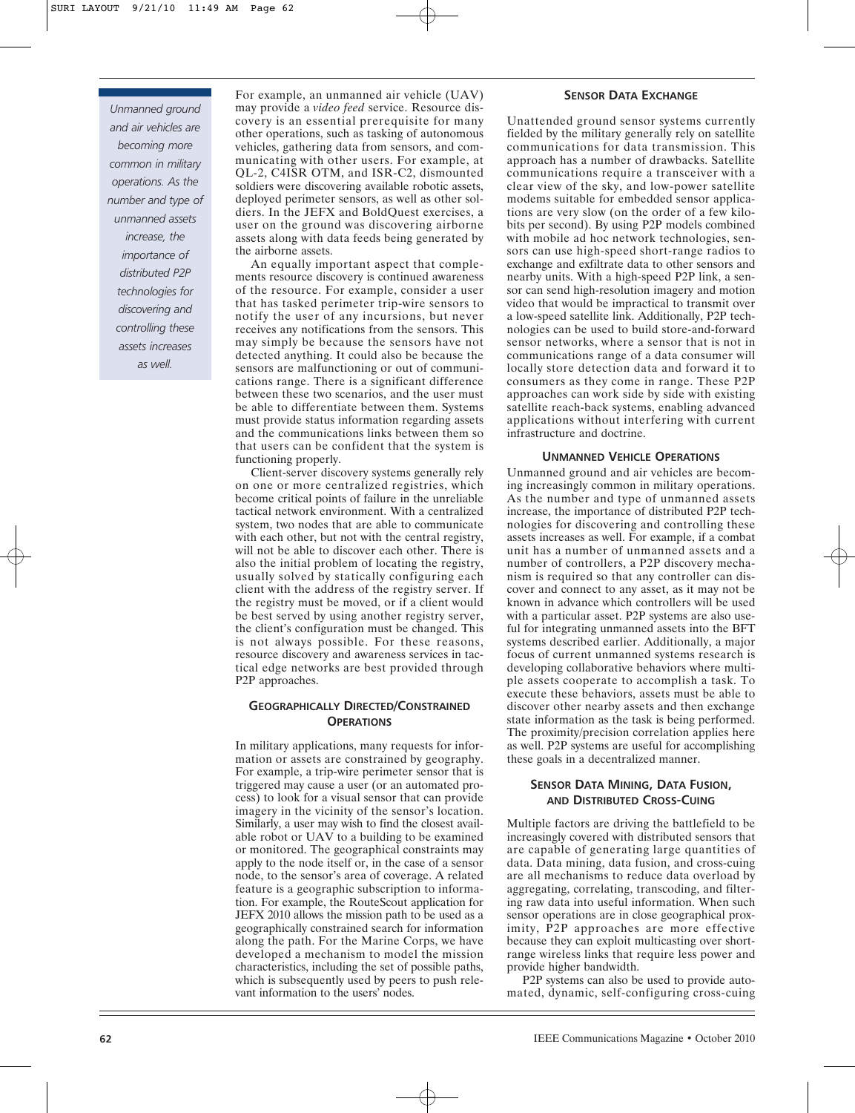*Unmanned ground and air vehicles are becoming more common in military operations. As the number and type of unmanned assets increase, the importance of distributed P2P technologies for discovering and controlling these assets increases as well.*

For example, an unmanned air vehicle (UAV) may provide a *video feed* service. Resource discovery is an essential prerequisite for many other operations, such as tasking of autonomous vehicles, gathering data from sensors, and communicating with other users. For example, at QL-2, C4ISR OTM, and ISR-C2, dismounted soldiers were discovering available robotic assets, deployed perimeter sensors, as well as other soldiers. In the JEFX and BoldQuest exercises, a user on the ground was discovering airborne assets along with data feeds being generated by the airborne assets.

An equally important aspect that complements resource discovery is continued awareness of the resource. For example, consider a user that has tasked perimeter trip-wire sensors to notify the user of any incursions, but never receives any notifications from the sensors. This may simply be because the sensors have not detected anything. It could also be because the sensors are malfunctioning or out of communications range. There is a significant difference between these two scenarios, and the user must be able to differentiate between them. Systems must provide status information regarding assets and the communications links between them so that users can be confident that the system is functioning properly.

Client-server discovery systems generally rely on one or more centralized registries, which become critical points of failure in the unreliable tactical network environment. With a centralized system, two nodes that are able to communicate with each other, but not with the central registry, will not be able to discover each other. There is also the initial problem of locating the registry, usually solved by statically configuring each client with the address of the registry server. If the registry must be moved, or if a client would be best served by using another registry server, the client's configuration must be changed. This is not always possible. For these reasons, resource discovery and awareness services in tactical edge networks are best provided through P2P approaches.

#### **GEOGRAPHICALLY DIRECTED/CONSTRAINED OPERATIONS**

In military applications, many requests for information or assets are constrained by geography. For example, a trip-wire perimeter sensor that is triggered may cause a user (or an automated process) to look for a visual sensor that can provide imagery in the vicinity of the sensor's location. Similarly, a user may wish to find the closest available robot or UAV to a building to be examined or monitored. The geographical constraints may apply to the node itself or, in the case of a sensor node, to the sensor's area of coverage. A related feature is a geographic subscription to information. For example, the RouteScout application for JEFX 2010 allows the mission path to be used as a geographically constrained search for information along the path. For the Marine Corps, we have developed a mechanism to model the mission characteristics, including the set of possible paths, which is subsequently used by peers to push relevant information to the users' nodes.

#### **SENSOR DATA EXCHANGE**

Unattended ground sensor systems currently fielded by the military generally rely on satellite communications for data transmission. This approach has a number of drawbacks. Satellite communications require a transceiver with a clear view of the sky, and low-power satellite modems suitable for embedded sensor applications are very slow (on the order of a few kilobits per second). By using P2P models combined with mobile ad hoc network technologies, sensors can use high-speed short-range radios to exchange and exfiltrate data to other sensors and nearby units. With a high-speed P2P link, a sensor can send high-resolution imagery and motion video that would be impractical to transmit over a low-speed satellite link. Additionally, P2P technologies can be used to build store-and-forward sensor networks, where a sensor that is not in communications range of a data consumer will locally store detection data and forward it to consumers as they come in range. These P2P approaches can work side by side with existing satellite reach-back systems, enabling advanced applications without interfering with current infrastructure and doctrine.

#### **UNMANNED VEHICLE OPERATIONS**

Unmanned ground and air vehicles are becoming increasingly common in military operations. As the number and type of unmanned assets increase, the importance of distributed P2P technologies for discovering and controlling these assets increases as well. For example, if a combat unit has a number of unmanned assets and a number of controllers, a P2P discovery mechanism is required so that any controller can discover and connect to any asset, as it may not be known in advance which controllers will be used with a particular asset. P2P systems are also useful for integrating unmanned assets into the BFT systems described earlier. Additionally, a major focus of current unmanned systems research is developing collaborative behaviors where multiple assets cooperate to accomplish a task. To execute these behaviors, assets must be able to discover other nearby assets and then exchange state information as the task is being performed. The proximity/precision correlation applies here as well. P2P systems are useful for accomplishing these goals in a decentralized manner.

# **SENSOR DATA MINING, DATA FUSION, AND DISTRIBUTED CROSS-CUING**

Multiple factors are driving the battlefield to be increasingly covered with distributed sensors that are capable of generating large quantities of data. Data mining, data fusion, and cross-cuing are all mechanisms to reduce data overload by aggregating, correlating, transcoding, and filtering raw data into useful information. When such sensor operations are in close geographical proximity, P2P approaches are more effective because they can exploit multicasting over shortrange wireless links that require less power and provide higher bandwidth.

P2P systems can also be used to provide automated, dynamic, self-configuring cross-cuing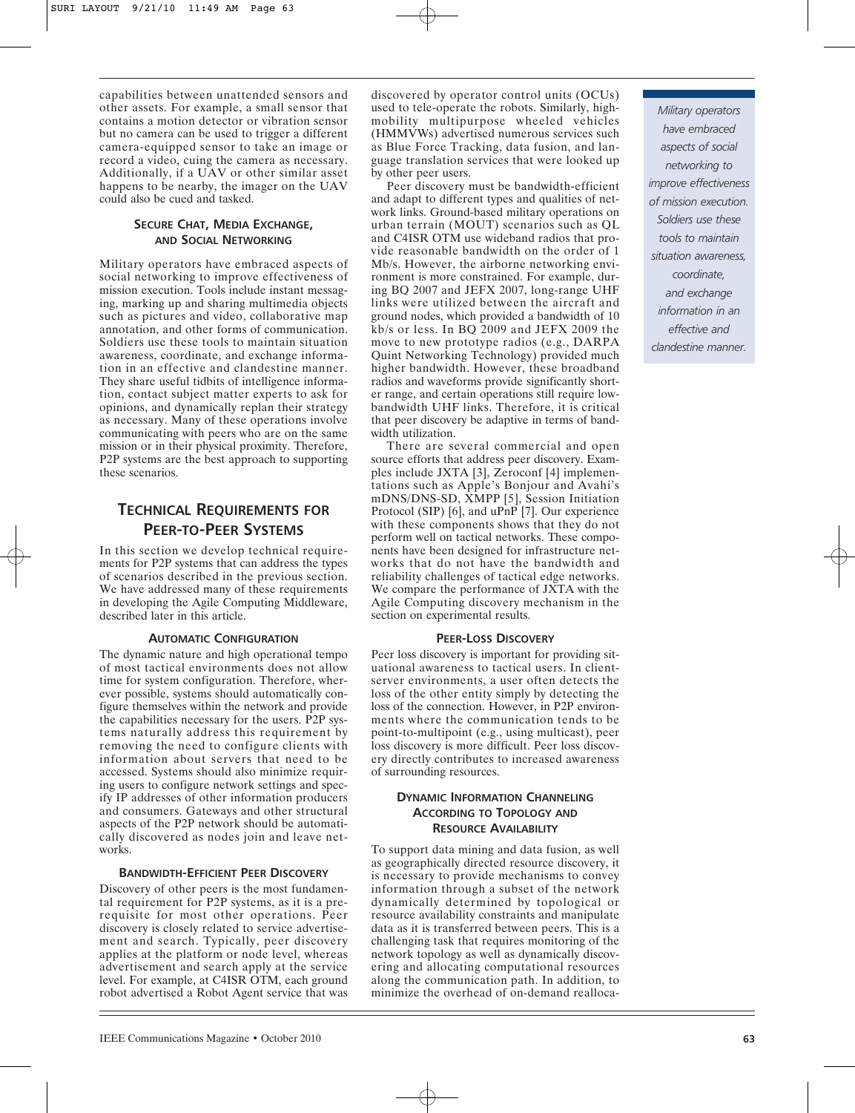capabilities between unattended sensors and other assets. For example, a small sensor that contains a motion detector or vibration sensor but no camera can be used to trigger a different camera-equipped sensor to take an image or record a video, cuing the camera as necessary. Additionally, if a UAV or other similar asset happens to be nearby, the imager on the UAV could also be cued and tasked.

# **SECURE CHAT, MEDIA EXCHANGE, AND SOCIAL NETWORKING**

Military operators have embraced aspects of social networking to improve effectiveness of mission execution. Tools include instant messaging, marking up and sharing multimedia objects such as pictures and video, collaborative map annotation, and other forms of communication. Soldiers use these tools to maintain situation awareness, coordinate, and exchange information in an effective and clandestine manner. They share useful tidbits of intelligence information, contact subject matter experts to ask for opinions, and dynamically replan their strategy as necessary. Many of these operations involve communicating with peers who are on the same mission or in their physical proximity. Therefore, P2P systems are the best approach to supporting these scenarios.

# **TECHNICAL REQUIREMENTS FOR PEER-TO-PEER SYSTEMS**

In this section we develop technical requirements for P2P systems that can address the types of scenarios described in the previous section. We have addressed many of these requirements in developing the Agile Computing Middleware, described later in this article.

#### **AUTOMATIC CONFIGURATION**

The dynamic nature and high operational tempo of most tactical environments does not allow time for system configuration. Therefore, wherever possible, systems should automatically configure themselves within the network and provide the capabilities necessary for the users. P2P systems naturally address this requirement by removing the need to configure clients with information about servers that need to be accessed. Systems should also minimize requiring users to configure network settings and specify IP addresses of other information producers and consumers. Gateways and other structural aspects of the P2P network should be automatically discovered as nodes join and leave networks.

#### **BANDWIDTH-EFFICIENT PEER DISCOVERY**

Discovery of other peers is the most fundamental requirement for P2P systems, as it is a prerequisite for most other operations. Peer discovery is closely related to service advertisement and search. Typically, peer discovery applies at the platform or node level, whereas advertisement and search apply at the service level. For example, at C4ISR OTM, each ground robot advertised a Robot Agent service that was

discovered by operator control units (OCUs) used to tele-operate the robots. Similarly, highmobility multipurpose wheeled vehicles (HMMVWs) advertised numerous services such as Blue Force Tracking, data fusion, and language translation services that were looked up by other peer users.

Peer discovery must be bandwidth-efficient and adapt to different types and qualities of network links. Ground-based military operations on urban terrain (MOUT) scenarios such as QL and C4ISR OTM use wideband radios that provide reasonable bandwidth on the order of 1 Mb/s. However, the airborne networking environment is more constrained. For example, during BQ 2007 and JEFX 2007, long-range UHF links were utilized between the aircraft and ground nodes, which provided a bandwidth of 10 kb/s or less. In BQ 2009 and JEFX 2009 the move to new prototype radios (e.g., DARPA Quint Networking Technology) provided much higher bandwidth. However, these broadband radios and waveforms provide significantly shorter range, and certain operations still require lowbandwidth UHF links. Therefore, it is critical that peer discovery be adaptive in terms of bandwidth utilization.

There are several commercial and open source efforts that address peer discovery. Examples include JXTA [3], Zeroconf [4] implementations such as Apple's Bonjour and Avahi's mDNS/DNS-SD, XMPP [5], Session Initiation Protocol (SIP) [6], and uPnP [7]. Our experience with these components shows that they do not perform well on tactical networks. These components have been designed for infrastructure networks that do not have the bandwidth and reliability challenges of tactical edge networks. We compare the performance of JXTA with the Agile Computing discovery mechanism in the section on experimental results.

#### **PEER-LOSS DISCOVERY**

Peer loss discovery is important for providing situational awareness to tactical users. In clientserver environments, a user often detects the loss of the other entity simply by detecting the loss of the connection. However, in P2P environments where the communication tends to be point-to-multipoint (e.g., using multicast), peer loss discovery is more difficult. Peer loss discovery directly contributes to increased awareness of surrounding resources.

# **DYNAMIC INFORMATION CHANNELING ACCORDING TO TOPOLOGY AND RESOURCE AVAILABILITY**

To support data mining and data fusion, as well as geographically directed resource discovery, it is necessary to provide mechanisms to convey information through a subset of the network dynamically determined by topological or resource availability constraints and manipulate data as it is transferred between peers. This is a challenging task that requires monitoring of the network topology as well as dynamically discovering and allocating computational resources along the communication path. In addition, to minimize the overhead of on-demand realloca-

*Military operators have embraced aspects of social networking to improve effectiveness of mission execution. Soldiers use these tools to maintain situation awareness, coordinate, and exchange information in an effective and clandestine manner.*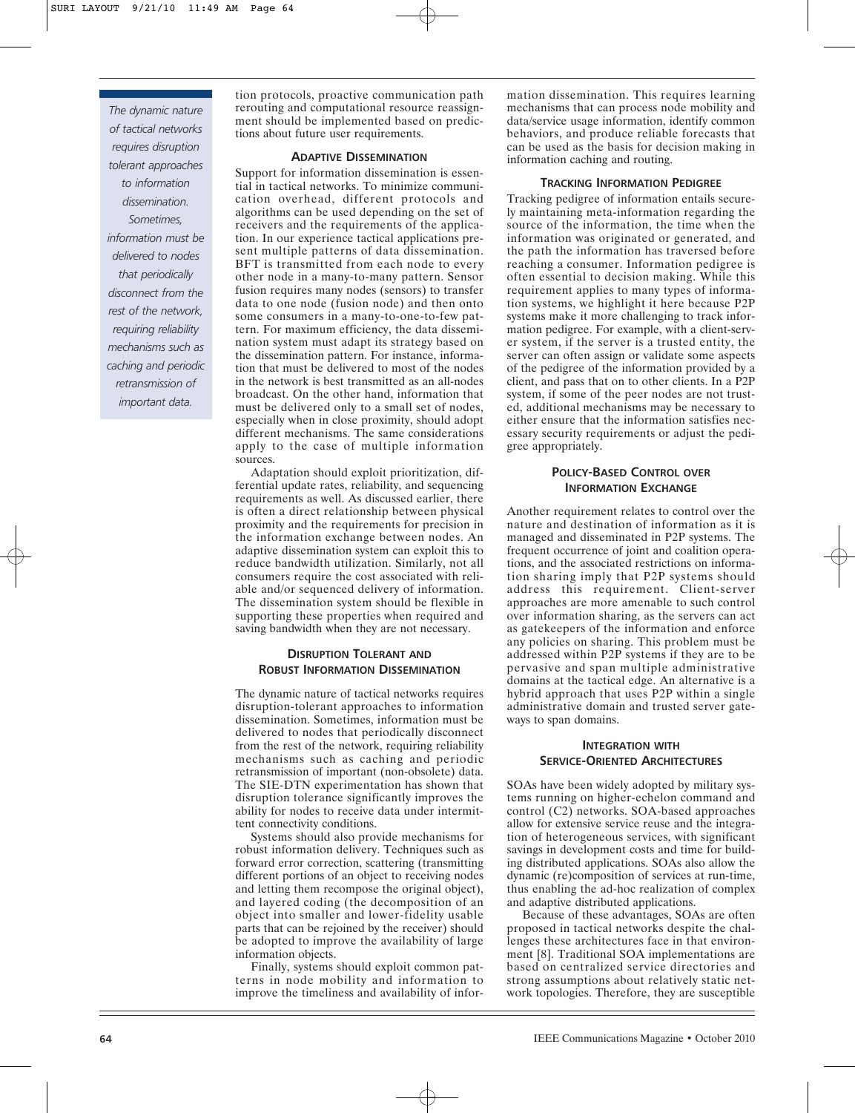*The dynamic nature of tactical networks requires disruption tolerant approaches to information dissemination. Sometimes, information must be delivered to nodes that periodically disconnect from the rest of the network, requiring reliability mechanisms such as caching and periodic retransmission of important data.*

tion protocols, proactive communication path rerouting and computational resource reassignment should be implemented based on predictions about future user requirements.

#### **ADAPTIVE DISSEMINATION**

Support for information dissemination is essential in tactical networks. To minimize communication overhead, different protocols and algorithms can be used depending on the set of receivers and the requirements of the application. In our experience tactical applications present multiple patterns of data dissemination. BFT is transmitted from each node to every other node in a many-to-many pattern. Sensor fusion requires many nodes (sensors) to transfer data to one node (fusion node) and then onto some consumers in a many-to-one-to-few pattern. For maximum efficiency, the data dissemination system must adapt its strategy based on the dissemination pattern. For instance, information that must be delivered to most of the nodes in the network is best transmitted as an all-nodes broadcast. On the other hand, information that must be delivered only to a small set of nodes, especially when in close proximity, should adopt different mechanisms. The same considerations apply to the case of multiple information sources.

Adaptation should exploit prioritization, differential update rates, reliability, and sequencing requirements as well. As discussed earlier, there is often a direct relationship between physical proximity and the requirements for precision in the information exchange between nodes. An adaptive dissemination system can exploit this to reduce bandwidth utilization. Similarly, not all consumers require the cost associated with reliable and/or sequenced delivery of information. The dissemination system should be flexible in supporting these properties when required and saving bandwidth when they are not necessary.

#### **DISRUPTION TOLERANT AND ROBUST INFORMATION DISSEMINATION**

The dynamic nature of tactical networks requires disruption-tolerant approaches to information dissemination. Sometimes, information must be delivered to nodes that periodically disconnect from the rest of the network, requiring reliability mechanisms such as caching and periodic retransmission of important (non-obsolete) data. The SIE-DTN experimentation has shown that disruption tolerance significantly improves the ability for nodes to receive data under intermittent connectivity conditions.

Systems should also provide mechanisms for robust information delivery. Techniques such as forward error correction, scattering (transmitting different portions of an object to receiving nodes and letting them recompose the original object), and layered coding (the decomposition of an object into smaller and lower-fidelity usable parts that can be rejoined by the receiver) should be adopted to improve the availability of large information objects.

Finally, systems should exploit common patterns in node mobility and information to improve the timeliness and availability of information dissemination. This requires learning mechanisms that can process node mobility and data/service usage information, identify common behaviors, and produce reliable forecasts that can be used as the basis for decision making in information caching and routing.

#### **TRACKING INFORMATION PEDIGREE**

Tracking pedigree of information entails securely maintaining meta-information regarding the source of the information, the time when the information was originated or generated, and the path the information has traversed before reaching a consumer. Information pedigree is often essential to decision making. While this requirement applies to many types of information systems, we highlight it here because P2P systems make it more challenging to track information pedigree. For example, with a client-server system, if the server is a trusted entity, the server can often assign or validate some aspects of the pedigree of the information provided by a client, and pass that on to other clients. In a P2P system, if some of the peer nodes are not trusted, additional mechanisms may be necessary to either ensure that the information satisfies necessary security requirements or adjust the pedigree appropriately.

#### **POLICY-BASED CONTROL OVER INFORMATION EXCHANGE**

Another requirement relates to control over the nature and destination of information as it is managed and disseminated in P2P systems. The frequent occurrence of joint and coalition operations, and the associated restrictions on information sharing imply that P2P systems should address this requirement. Client-server approaches are more amenable to such control over information sharing, as the servers can act as gatekeepers of the information and enforce any policies on sharing. This problem must be addressed within P2P systems if they are to be pervasive and span multiple administrative domains at the tactical edge. An alternative is a hybrid approach that uses P2P within a single administrative domain and trusted server gateways to span domains.

### **INTEGRATION WITH SERVICE-ORIENTED ARCHITECTURES**

SOAs have been widely adopted by military systems running on higher-echelon command and control (C2) networks. SOA-based approaches allow for extensive service reuse and the integration of heterogeneous services, with significant savings in development costs and time for building distributed applications. SOAs also allow the dynamic (re)composition of services at run-time, thus enabling the ad-hoc realization of complex and adaptive distributed applications.

Because of these advantages, SOAs are often proposed in tactical networks despite the challenges these architectures face in that environment [8]. Traditional SOA implementations are based on centralized service directories and strong assumptions about relatively static network topologies. Therefore, they are susceptible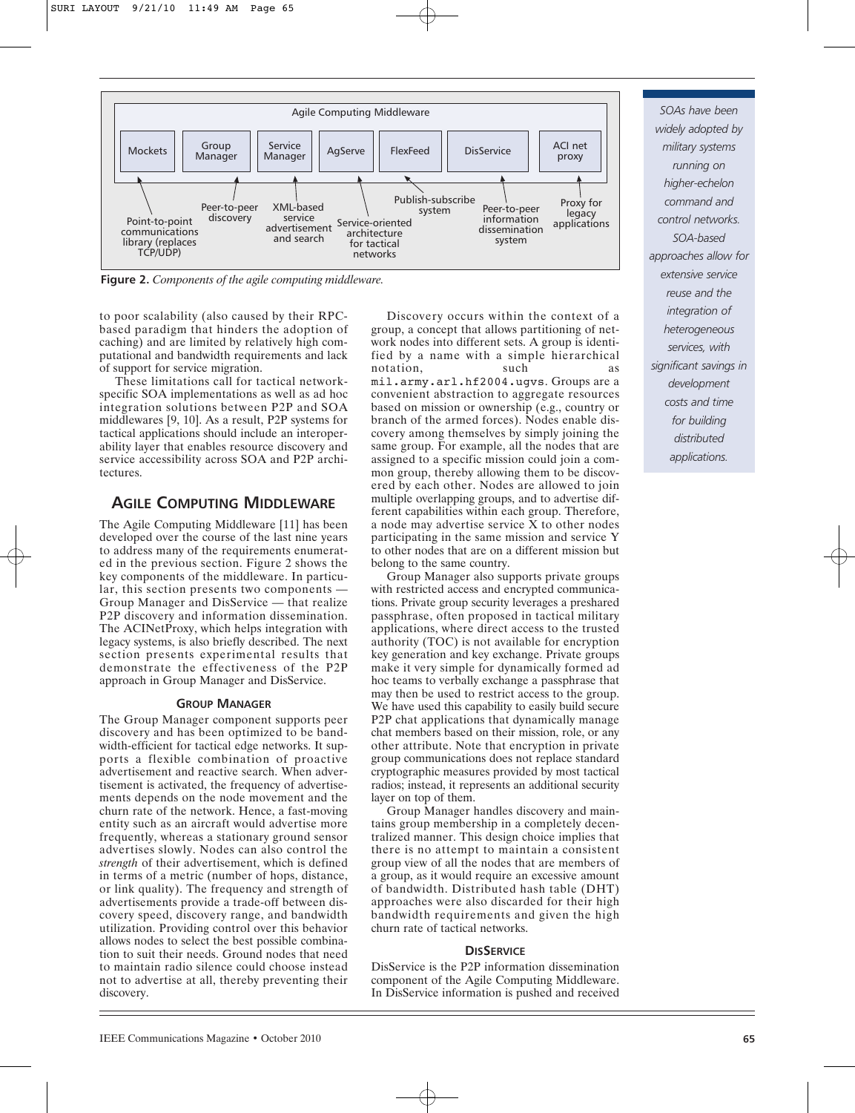

**Figure 2.** *Components of the agile computing middleware.*

to poor scalability (also caused by their RPCbased paradigm that hinders the adoption of caching) and are limited by relatively high computational and bandwidth requirements and lack of support for service migration.

These limitations call for tactical networkspecific SOA implementations as well as ad hoc integration solutions between P2P and SOA middlewares [9, 10]. As a result, P2P systems for tactical applications should include an interoperability layer that enables resource discovery and service accessibility across SOA and P2P architectures.

# **AGILE COMPUTING MIDDLEWARE**

The Agile Computing Middleware [11] has been developed over the course of the last nine years to address many of the requirements enumerated in the previous section. Figure 2 shows the key components of the middleware. In particular, this section presents two components -Group Manager and DisService — that realize P2P discovery and information dissemination. The ACINetProxy, which helps integration with legacy systems, is also briefly described. The next section presents experimental results that demonstrate the effectiveness of the P2P approach in Group Manager and DisService.

#### **GROUP MANAGER**

The Group Manager component supports peer discovery and has been optimized to be bandwidth-efficient for tactical edge networks. It supports a flexible combination of proactive advertisement and reactive search. When advertisement is activated, the frequency of advertisements depends on the node movement and the churn rate of the network. Hence, a fast-moving entity such as an aircraft would advertise more frequently, whereas a stationary ground sensor advertises slowly. Nodes can also control the *strength* of their advertisement, which is defined in terms of a metric (number of hops, distance, or link quality). The frequency and strength of advertisements provide a trade-off between discovery speed, discovery range, and bandwidth utilization. Providing control over this behavior allows nodes to select the best possible combination to suit their needs. Ground nodes that need to maintain radio silence could choose instead not to advertise at all, thereby preventing their discovery.

Discovery occurs within the context of a group, a concept that allows partitioning of network nodes into different sets. A group is identified by a name with a simple hierarchical notation, such as mil.army.arl.hf2004.ugvs. Groups are a

convenient abstraction to aggregate resources based on mission or ownership (e.g., country or branch of the armed forces). Nodes enable discovery among themselves by simply joining the same group. For example, all the nodes that are assigned to a specific mission could join a common group, thereby allowing them to be discovered by each other. Nodes are allowed to join multiple overlapping groups, and to advertise different capabilities within each group. Therefore, a node may advertise service X to other nodes participating in the same mission and service Y to other nodes that are on a different mission but belong to the same country.

Group Manager also supports private groups with restricted access and encrypted communications. Private group security leverages a preshared passphrase, often proposed in tactical military applications, where direct access to the trusted authority (TOC) is not available for encryption key generation and key exchange. Private groups make it very simple for dynamically formed ad hoc teams to verbally exchange a passphrase that may then be used to restrict access to the group. We have used this capability to easily build secure P2P chat applications that dynamically manage chat members based on their mission, role, or any other attribute. Note that encryption in private group communications does not replace standard cryptographic measures provided by most tactical radios; instead, it represents an additional security layer on top of them.

Group Manager handles discovery and maintains group membership in a completely decentralized manner. This design choice implies that there is no attempt to maintain a consistent group view of all the nodes that are members of a group, as it would require an excessive amount of bandwidth. Distributed hash table (DHT) approaches were also discarded for their high bandwidth requirements and given the high churn rate of tactical networks.

#### **DISSERVICE**

DisService is the P2P information dissemination component of the Agile Computing Middleware. In DisService information is pushed and received

*SOAs have been widely adopted by military systems running on higher-echelon command and control networks. SOA-based approaches allow for extensive service reuse and the integration of heterogeneous services, with significant savings in development costs and time for building distributed applications.*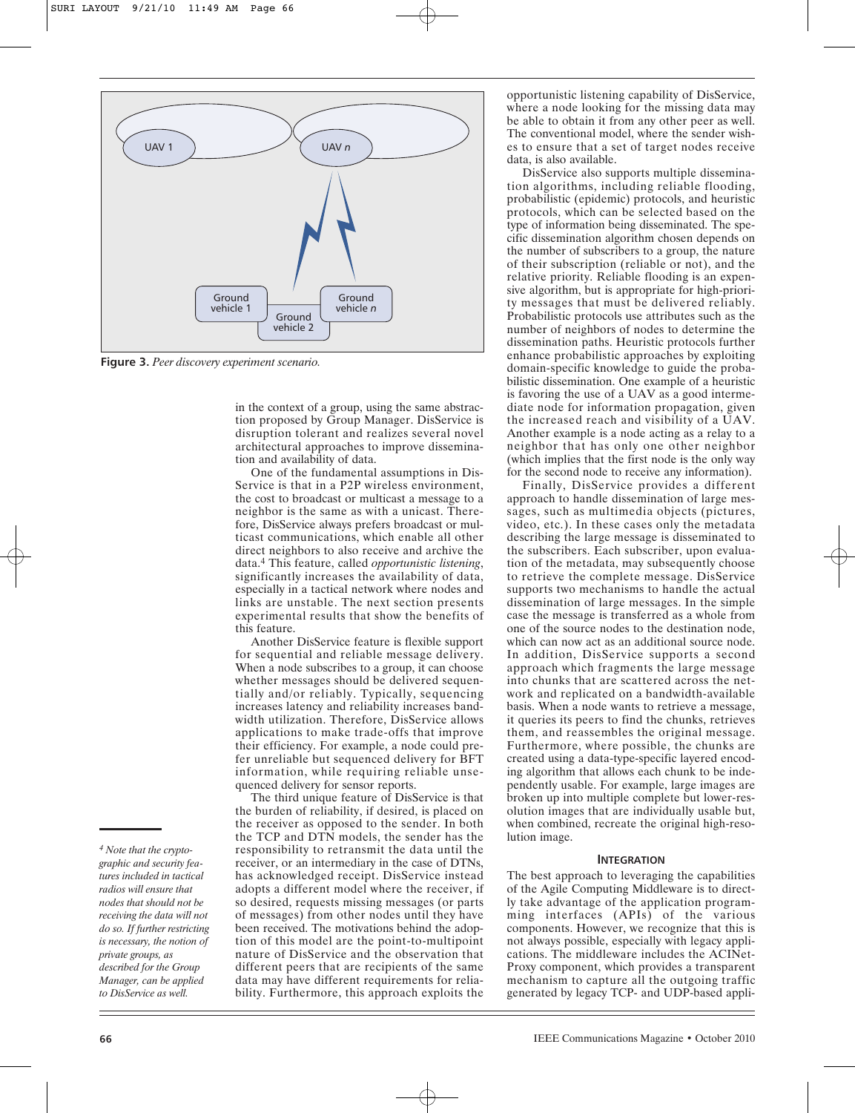

**Figure 3.** *Peer discovery experiment scenario.*

in the context of a group, using the same abstraction proposed by Group Manager. DisService is disruption tolerant and realizes several novel architectural approaches to improve dissemination and availability of data.

One of the fundamental assumptions in Dis-Service is that in a P2P wireless environment, the cost to broadcast or multicast a message to a neighbor is the same as with a unicast. Therefore, DisService always prefers broadcast or multicast communications, which enable all other direct neighbors to also receive and archive the data.4 This feature, called *opportunistic listening*, significantly increases the availability of data, especially in a tactical network where nodes and links are unstable. The next section presents experimental results that show the benefits of this feature.

Another DisService feature is flexible support for sequential and reliable message delivery. When a node subscribes to a group, it can choose whether messages should be delivered sequentially and/or reliably. Typically, sequencing increases latency and reliability increases bandwidth utilization. Therefore, DisService allows applications to make trade-offs that improve their efficiency. For example, a node could prefer unreliable but sequenced delivery for BFT information, while requiring reliable unsequenced delivery for sensor reports.

The third unique feature of DisService is that the burden of reliability, if desired, is placed on the receiver as opposed to the sender. In both the TCP and DTN models, the sender has the responsibility to retransmit the data until the receiver, or an intermediary in the case of DTNs, has acknowledged receipt. DisService instead adopts a different model where the receiver, if so desired, requests missing messages (or parts of messages) from other nodes until they have been received. The motivations behind the adoption of this model are the point-to-multipoint nature of DisService and the observation that different peers that are recipients of the same data may have different requirements for reliability. Furthermore, this approach exploits the opportunistic listening capability of DisService, where a node looking for the missing data may be able to obtain it from any other peer as well. The conventional model, where the sender wishes to ensure that a set of target nodes receive data, is also available.

DisService also supports multiple dissemination algorithms, including reliable flooding, probabilistic (epidemic) protocols, and heuristic protocols, which can be selected based on the type of information being disseminated. The specific dissemination algorithm chosen depends on the number of subscribers to a group, the nature of their subscription (reliable or not), and the relative priority. Reliable flooding is an expensive algorithm, but is appropriate for high-priority messages that must be delivered reliably. Probabilistic protocols use attributes such as the number of neighbors of nodes to determine the dissemination paths. Heuristic protocols further enhance probabilistic approaches by exploiting domain-specific knowledge to guide the probabilistic dissemination. One example of a heuristic is favoring the use of a UAV as a good intermediate node for information propagation, given the increased reach and visibility of a UAV. Another example is a node acting as a relay to a neighbor that has only one other neighbor (which implies that the first node is the only way for the second node to receive any information).

Finally, DisService provides a different approach to handle dissemination of large messages, such as multimedia objects (pictures, video, etc.). In these cases only the metadata describing the large message is disseminated to the subscribers. Each subscriber, upon evaluation of the metadata, may subsequently choose to retrieve the complete message. DisService supports two mechanisms to handle the actual dissemination of large messages. In the simple case the message is transferred as a whole from one of the source nodes to the destination node, which can now act as an additional source node. In addition, DisService supports a second approach which fragments the large message into chunks that are scattered across the network and replicated on a bandwidth-available basis. When a node wants to retrieve a message, it queries its peers to find the chunks, retrieves them, and reassembles the original message. Furthermore, where possible, the chunks are created using a data-type-specific layered encoding algorithm that allows each chunk to be independently usable. For example, large images are broken up into multiple complete but lower-resolution images that are individually usable but, when combined, recreate the original high-resolution image.

#### **INTEGRATION**

The best approach to leveraging the capabilities of the Agile Computing Middleware is to directly take advantage of the application programming interfaces (APIs) of the various components. However, we recognize that this is not always possible, especially with legacy applications. The middleware includes the ACINet-Proxy component, which provides a transparent mechanism to capture all the outgoing traffic generated by legacy TCP- and UDP-based appli-

*<sup>4</sup> Note that the cryptographic and security features included in tactical radios will ensure that nodes that should not be receiving the data will not do so. If further restricting is necessary, the notion of private groups, as described for the Group Manager, can be applied to DisService as well.*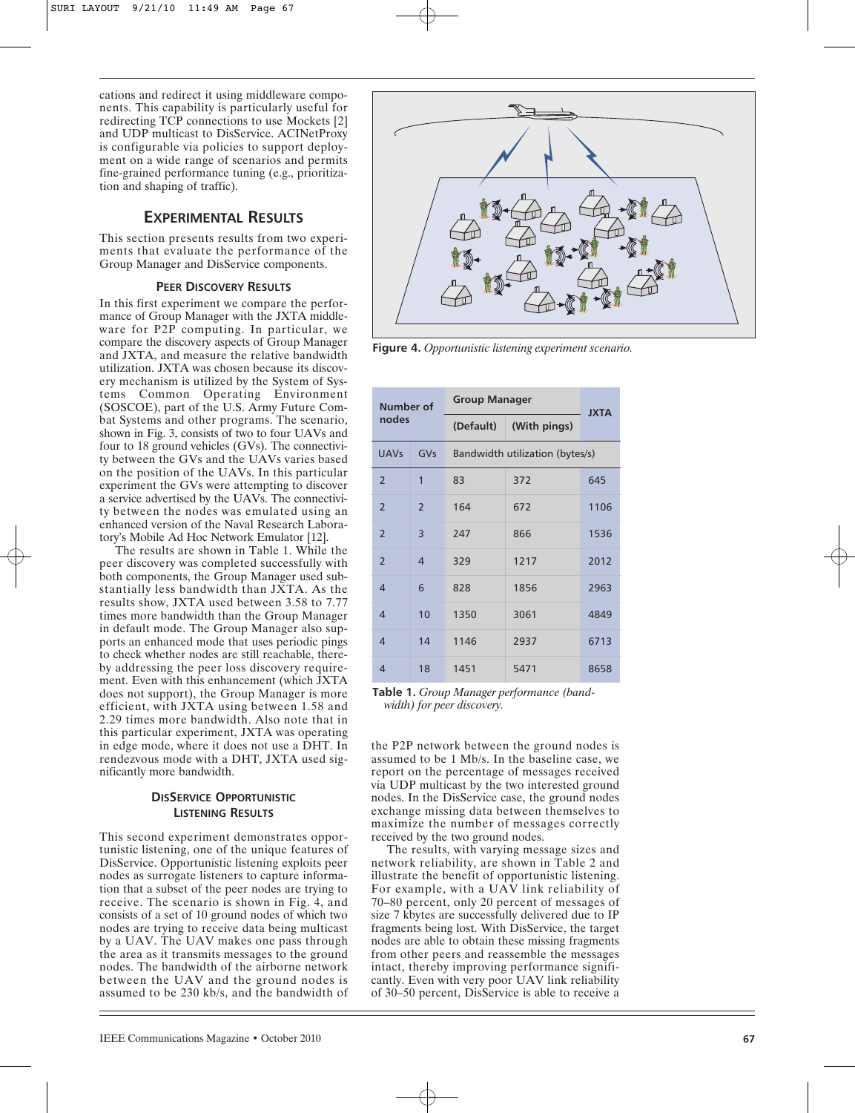cations and redirect it using middleware components. This capability is particularly useful for redirecting TCP connections to use Mockets [2] and UDP multicast to DisService. ACINetProxy is configurable via policies to support deployment on a wide range of scenarios and permits fine-grained performance tuning (e.g., prioritization and shaping of traffic).

# **EXPERIMENTAL RESULTS**

This section presents results from two experiments that evaluate the performance of the Group Manager and DisService components.

## **PEER DISCOVERY RESULTS**

In this first experiment we compare the performance of Group Manager with the JXTA middleware for P2P computing. In particular, we compare the discovery aspects of Group Manager and JXTA, and measure the relative bandwidth utilization. JXTA was chosen because its discovery mechanism is utilized by the System of Systems Common Operating Environment (SOSCOE), part of the U.S. Army Future Combat Systems and other programs. The scenario, shown in Fig. 3, consists of two to four UAVs and four to 18 ground vehicles (GVs). The connectivity between the GVs and the UAVs varies based on the position of the UAVs. In this particular experiment the GVs were attempting to discover a service advertised by the UAVs. The connectivity between the nodes was emulated using an enhanced version of the Naval Research Laboratory's Mobile Ad Hoc Network Emulator [12].

The results are shown in Table 1. While the peer discovery was completed successfully with both components, the Group Manager used substantially less bandwidth than JXTA. As the results show, JXTA used between 3.58 to 7.77 times more bandwidth than the Group Manager in default mode. The Group Manager also supports an enhanced mode that uses periodic pings to check whether nodes are still reachable, thereby addressing the peer loss discovery requirement. Even with this enhancement (which JXTA does not support), the Group Manager is more efficient, with JXTA using between 1.58 and 2.29 times more bandwidth. Also note that in this particular experiment, JXTA was operating in edge mode, where it does not use a DHT. In rendezvous mode with a DHT, JXTA used significantly more bandwidth.

## **DISSERVICE OPPORTUNISTIC LISTENING RESULTS**

This second experiment demonstrates opportunistic listening, one of the unique features of DisService. Opportunistic listening exploits peer nodes as surrogate listeners to capture information that a subset of the peer nodes are trying to receive. The scenario is shown in Fig. 4, and consists of a set of 10 ground nodes of which two nodes are trying to receive data being multicast by a UAV. The UAV makes one pass through the area as it transmits messages to the ground nodes. The bandwidth of the airborne network between the UAV and the ground nodes is assumed to be 230 kb/s, and the bandwidth of



**Figure 4.** *Opportunistic listening experiment scenario.*

| Number of<br>nodes       |                | <b>Group Manager</b>            | <b>JXTA</b>  |      |  |  |  |
|--------------------------|----------------|---------------------------------|--------------|------|--|--|--|
|                          |                | (Default)                       | (With pings) |      |  |  |  |
| <b>UAVs</b>              | GVs            | Bandwidth utilization (bytes/s) |              |      |  |  |  |
| $\overline{\phantom{0}}$ | $\overline{1}$ | 83                              | 372          | 645  |  |  |  |
| $\overline{2}$           | $\overline{2}$ | 164                             | 672          | 1106 |  |  |  |
| $\mathcal{L}$            | $\overline{3}$ | 247                             | 866          | 1536 |  |  |  |
| 2                        | $\overline{4}$ | 329                             | 1217         | 2012 |  |  |  |
| 4                        | 6              | 828                             | 1856         | 2963 |  |  |  |
| $\overline{4}$           | 10             | 1350                            | 3061         | 4849 |  |  |  |
| $\overline{4}$           | 14             | 1146                            | 2937         | 6713 |  |  |  |
| 4                        | 18             | 1451                            | 5471         | 8658 |  |  |  |

**Table 1.** *Group Manager performance (bandwidth) for peer discovery.*

the P2P network between the ground nodes is assumed to be 1 Mb/s. In the baseline case, we report on the percentage of messages received via UDP multicast by the two interested ground nodes. In the DisService case, the ground nodes exchange missing data between themselves to maximize the number of messages correctly received by the two ground nodes.

The results, with varying message sizes and network reliability, are shown in Table 2 and illustrate the benefit of opportunistic listening. For example, with a  $UAV$  link reliability of 70–80 percent, only 20 percent of messages of size 7 kbytes are successfully delivered due to IP fragments being lost. With DisService, the target nodes are able to obtain these missing fragments from other peers and reassemble the messages intact, thereby improving performance significantly. Even with very poor UAV link reliability of 30–50 percent, DisService is able to receive a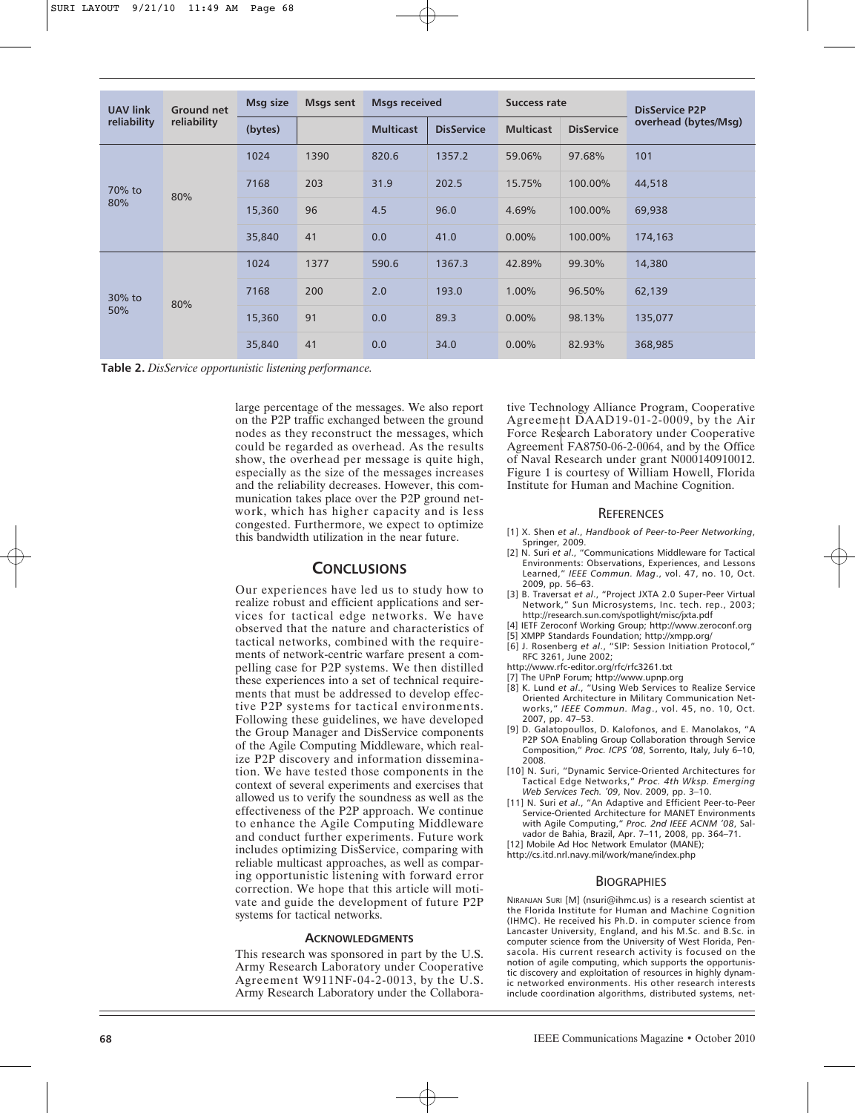| <b>UAV</b> link<br>reliability | <b>Ground net</b><br>reliability | Msg size | <b>Msgs sent</b> | <b>Msgs received</b> |                   | <b>Success rate</b> |                   | <b>DisService P2P</b> |
|--------------------------------|----------------------------------|----------|------------------|----------------------|-------------------|---------------------|-------------------|-----------------------|
|                                |                                  | (bytes)  |                  | <b>Multicast</b>     | <b>DisService</b> | <b>Multicast</b>    | <b>DisService</b> | overhead (bytes/Msg)  |
| 70% to<br>80%                  | 80%                              | 1024     | 1390             | 820.6                | 1357.2            | 59.06%              | 97.68%            | 101                   |
|                                |                                  | 7168     | 203              | 31.9                 | 202.5             | 15.75%              | 100.00%           | 44,518                |
|                                |                                  | 15,360   | 96               | 4.5                  | 96.0              | 4.69%               | 100.00%           | 69,938                |
|                                |                                  | 35,840   | 41               | 0.0                  | 41.0              | $0.00\%$            | 100.00%           | 174,163               |
| 30% to<br>50%                  | 80%                              | 1024     | 1377             | 590.6                | 1367.3            | 42.89%              | 99.30%            | 14,380                |
|                                |                                  | 7168     | 200              | 2.0                  | 193.0             | 1.00%               | 96.50%            | 62,139                |
|                                |                                  | 15,360   | 91               | 0.0                  | 89.3              | $0.00\%$            | 98.13%            | 135,077               |
|                                |                                  | 35,840   | 41               | 0.0                  | 34.0              | $0.00\%$            | 82.93%            | 368,985               |

**Table 2.** *DisService opportunistic listening performance.*

large percentage of the messages. We also report on the P2P traffic exchanged between the ground nodes as they reconstruct the messages, which could be regarded as overhead. As the results show, the overhead per message is quite high, especially as the size of the messages increases and the reliability decreases. However, this communication takes place over the P2P ground network, which has higher capacity and is less congested. Furthermore, we expect to optimize this bandwidth utilization in the near future.

# **CONCLUSIONS**

Our experiences have led us to study how to realize robust and efficient applications and services for tactical edge networks. We have observed that the nature and characteristics of tactical networks, combined with the requirements of network-centric warfare present a compelling case for P2P systems. We then distilled these experiences into a set of technical requirements that must be addressed to develop effective P2P systems for tactical environments. Following these guidelines, we have developed the Group Manager and DisService components of the Agile Computing Middleware, which realize P2P discovery and information dissemination. We have tested those components in the context of several experiments and exercises that allowed us to verify the soundness as well as the effectiveness of the P2P approach. We continue to enhance the Agile Computing Middleware and conduct further experiments. Future work includes optimizing DisService, comparing with reliable multicast approaches, as well as comparing opportunistic listening with forward error correction. We hope that this article will motivate and guide the development of future P2P systems for tactical networks.

#### **ACKNOWLEDGMENTS**

This research was sponsored in part by the U.S. Army Research Laboratory under Cooperative Agreement W911NF-04-2-0013, by the U.S. Army Research Laboratory under the Collaborative Technology Alliance Program, Cooperative Agreement DAAD19-01-2-0009, by the Air Force Research Laboratory under Cooperative Agreement FA8750-06-2-0064, and by the Office of Naval Research under grant N000140910012. Figure 1 is courtesy of William Howell, Florida Institute for Human and Machine Cognition.

#### **REFERENCES**

- [1] X. Shen *et al*., *Handbook of Peer-to-Peer Networking*, Springer, 2009.
- [2] N. Suri *et al*., "Communications Middleware for Tactical Environments: Observations, Experiences, and Lessons Learned," *IEEE Commun. Mag*., vol. 47, no. 10, Oct. 2009, pp. 56–63.
- [3] B. Traversat *et al*., "Project JXTA 2.0 Super-Peer Virtual Network," Sun Microsystems, Inc. tech. rep., 2003;
- http://research.sun.com/spotlight/misc/jxta.pdf
- [4] IETF Zeroconf Working Group; http://www.zeroconf.org [5] XMPP Standards Foundation; http://xmpp.org/
- [6] J. Rosenberg *et al*., "SIP: Session Initiation Protocol," RFC 3261, June 2002;
- http://www.rfc-editor.org/rfc/rfc3261.txt
- [7] The UPnP Forum; http://www.upnp.org
- [8] K. Lund *et al*., "Using Web Services to Realize Service Oriented Architecture in Military Communication Networks," *IEEE Commun. Mag*., vol. 45, no. 10, Oct. 2007, pp. 47–53.
- [9] D. Galatopoullos, D. Kalofonos, and E. Manolakos, "A P2P SOA Enabling Group Collaboration through Service Composition," *Proc. ICPS '08*, Sorrento, Italy, July 6–10, 2008.
- [10] N. Suri, "Dynamic Service-Oriented Architectures for Tactical Edge Networks," *Proc. 4th Wksp. Emerging Web Services Tech. '09*, Nov. 2009, pp. 3–10.
- [11] N. Suri *et al*., "An Adaptive and Efficient Peer-to-Peer Service-Oriented Architecture for MANET Environments with Agile Computing," *Proc. 2nd IEEE ACNM '08*, Salvador de Bahia, Brazil, Apr. 7–11, 2008, pp. 364–71.
- [12] Mobile Ad Hoc Network Emulator (MANE);

http://cs.itd.nrl.navy.mil/work/mane/index.php

#### **BIOGRAPHIES**

NIRANJAN SURI [M] (nsuri@ihmc.us) is a research scientist at the Florida Institute for Human and Machine Cognition (IHMC). He received his Ph.D. in computer science from Lancaster University, England, and his M.Sc. and B.Sc. in computer science from the University of West Florida, Pensacola. His current research activity is focused on the notion of agile computing, which supports the opportunistic discovery and exploitation of resources in highly dynamic networked environments. His other research interests include coordination algorithms, distributed systems, net-